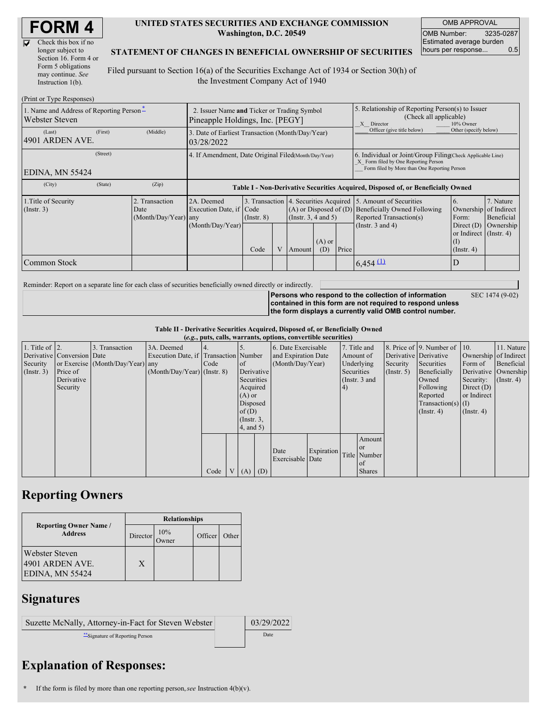D

| Check this box if no  |
|-----------------------|
| longer subject to     |
| Section 16. Form 4 or |
| Form 5 obligations    |
| may continue. See     |
| Instruction $1(b)$ .  |

#### **UNITED STATES SECURITIES AND EXCHANGE COMMISSION Washington, D.C. 20549**

OMB APPROVAL OMB Number: 3235-0287 Estimated average burden hours per response... 0.5

#### **STATEMENT OF CHANGES IN BENEFICIAL OWNERSHIP OF SECURITIES**

Filed pursuant to Section 16(a) of the Securities Exchange Act of 1934 or Section 30(h) of the Investment Company Act of 1940

| (Print or Type Responses)                                                                    |                                                                                |                                       |                                                                                  |                      |  |                                                                                                       |                                                                                                                                                    |                           |                                                  |                                                                         |           |
|----------------------------------------------------------------------------------------------|--------------------------------------------------------------------------------|---------------------------------------|----------------------------------------------------------------------------------|----------------------|--|-------------------------------------------------------------------------------------------------------|----------------------------------------------------------------------------------------------------------------------------------------------------|---------------------------|--------------------------------------------------|-------------------------------------------------------------------------|-----------|
| 1. Name and Address of Reporting Person-<br><b>Webster Steven</b>                            | 2. Issuer Name and Ticker or Trading Symbol<br>Pineapple Holdings, Inc. [PEGY] |                                       |                                                                                  |                      |  | 5. Relationship of Reporting Person(s) to Issuer<br>(Check all applicable)<br>10% Owner<br>X Director |                                                                                                                                                    |                           |                                                  |                                                                         |           |
| (Last)<br>4901 ARDEN AVE.                                                                    | (First)                                                                        | (Middle)                              | 3. Date of Earliest Transaction (Month/Day/Year)<br>03/28/2022                   |                      |  |                                                                                                       |                                                                                                                                                    |                           | Officer (give title below)                       | Other (specify below)                                                   |           |
| <b>EDINA, MN 55424</b>                                                                       | 4. If Amendment, Date Original Filed (Month/Day/Year)                          |                                       |                                                                                  |                      |  |                                                                                                       | 6. Individual or Joint/Group Filing Check Applicable Line)<br>X Form filed by One Reporting Person<br>Form filed by More than One Reporting Person |                           |                                                  |                                                                         |           |
| (City)                                                                                       | (State)                                                                        | (Zip)                                 | Table I - Non-Derivative Securities Acquired, Disposed of, or Beneficially Owned |                      |  |                                                                                                       |                                                                                                                                                    |                           |                                                  |                                                                         |           |
| 1. Title of Security<br>2. Transaction<br>$($ Instr. 3 $)$<br>Date<br>$(Month/Day/Year)$ any |                                                                                | 2A. Deemed<br>Execution Date, if Code |                                                                                  | (Insert. 3, 4 and 5) |  |                                                                                                       | 3. Transaction 4. Securities Acquired 5. Amount of Securities<br>(A) or Disposed of (D) Beneficially Owned Following<br>Reported Transaction(s)    | $\mathfrak{h}$ .<br>Form: | 7. Nature<br>Ownership of Indirect<br>Beneficial |                                                                         |           |
|                                                                                              |                                                                                |                                       | (Month/Day/Year)                                                                 | Code                 |  | Amount                                                                                                | $(A)$ or<br>(D)                                                                                                                                    | Price                     | (Instr. $3$ and $4$ )                            | Direct $(D)$<br>or Indirect $($ Instr. 4 $)$<br>(1)<br>$($ Instr. 4 $)$ | Ownership |
| Common Stock                                                                                 |                                                                                |                                       |                                                                                  |                      |  |                                                                                                       |                                                                                                                                                    |                           | $6,454$ (1)                                      |                                                                         |           |

Reminder: Report on a separate line for each class of securities beneficially owned directly or indirectly.

**Persons who respond to the collection of information contained in this form are not required to respond unless the form displays a currently valid OMB control number.** SEC 1474 (9-02)

**Table II - Derivative Securities Acquired, Disposed of, or Beneficially Owned (***e.g.***, puts, calls, warrants, options, convertible securities)**

| $(c, g, \mu u, \alpha u)$ , variants, options, convertible securities) |                            |                                  |                                       |      |  |                 |                     |                          |            |               |               |              |                       |                  |                              |               |              |  |                      |
|------------------------------------------------------------------------|----------------------------|----------------------------------|---------------------------------------|------|--|-----------------|---------------------|--------------------------|------------|---------------|---------------|--------------|-----------------------|------------------|------------------------------|---------------|--------------|--|----------------------|
| 1. Title of $\vert$ 2.                                                 |                            | 3. Transaction                   | 3A. Deemed                            |      |  |                 |                     | 6. Date Exercisable      |            |               |               | 7. Title and |                       |                  | 8. Price of 9. Number of 10. |               | 11. Nature   |  |                      |
|                                                                        | Derivative Conversion Date |                                  | Execution Date, if Transaction Number |      |  |                 | and Expiration Date |                          |            |               | Amount of     |              | Derivative Derivative |                  | Ownership of Indirect        |               |              |  |                      |
| Security                                                               |                            | or Exercise (Month/Day/Year) any |                                       | Code |  | <sub>of</sub>   | (Month/Day/Year)    |                          |            |               | Underlying    | Security     | Securities            | Form of          | Beneficial                   |               |              |  |                      |
| (Insert. 3)                                                            | Price of                   |                                  | $(Month/Day/Year)$ (Instr. 8)         |      |  | Derivative      |                     |                          |            |               |               |              |                       | Securities       |                              | (Insert, 5)   | Beneficially |  | Derivative Ownership |
|                                                                        | Derivative                 |                                  |                                       |      |  | Securities      |                     |                          |            | (Instr. 3 and |               |              |                       | Owned            | Security:                    | $($ Instr. 4) |              |  |                      |
|                                                                        | Security                   |                                  |                                       |      |  | Acquired        |                     |                          |            | (4)           |               |              | Following             | Direct $(D)$     |                              |               |              |  |                      |
|                                                                        |                            |                                  |                                       |      |  | $(A)$ or        |                     |                          |            |               |               |              | Reported              | or Indirect      |                              |               |              |  |                      |
|                                                                        |                            |                                  |                                       |      |  | Disposed        |                     |                          |            |               |               |              | $Transaction(s)$ (I)  |                  |                              |               |              |  |                      |
|                                                                        |                            |                                  |                                       |      |  | of $(D)$        |                     |                          |            |               |               |              | $($ Instr. 4 $)$      | $($ Instr. 4 $)$ |                              |               |              |  |                      |
|                                                                        |                            |                                  |                                       |      |  | $($ Instr. $3,$ |                     |                          |            |               |               |              |                       |                  |                              |               |              |  |                      |
|                                                                        |                            |                                  |                                       |      |  | 4, and 5)       |                     |                          |            |               |               |              |                       |                  |                              |               |              |  |                      |
|                                                                        |                            |                                  |                                       |      |  |                 |                     |                          |            |               | Amount        |              |                       |                  |                              |               |              |  |                      |
|                                                                        |                            |                                  |                                       |      |  |                 |                     |                          | Expiration |               | <b>or</b>     |              |                       |                  |                              |               |              |  |                      |
|                                                                        |                            |                                  |                                       |      |  |                 |                     | Date<br>Exercisable Date |            |               | Title Number  |              |                       |                  |                              |               |              |  |                      |
|                                                                        |                            |                                  |                                       |      |  |                 |                     |                          |            |               | of            |              |                       |                  |                              |               |              |  |                      |
|                                                                        |                            |                                  |                                       | Code |  | V(A)            | (D)                 |                          |            |               | <b>Shares</b> |              |                       |                  |                              |               |              |  |                      |

## **Reporting Owners**

|                                                             | <b>Relationships</b> |              |         |       |  |  |  |  |
|-------------------------------------------------------------|----------------------|--------------|---------|-------|--|--|--|--|
| <b>Reporting Owner Name /</b><br><b>Address</b>             | Director             | 10%<br>)wner | Officer | Other |  |  |  |  |
| <b>Webster Steven</b><br>4901 ARDEN AVE.<br>EDINA, MN 55424 | X                    |              |         |       |  |  |  |  |

### **Signatures**

| Suzette McNally, Attorney-in-Fact for Steven Webster | 03/29/2022 |
|------------------------------------------------------|------------|
| Signature of Reporting Person                        | Date       |

# **Explanation of Responses:**

**<sup>\*</sup>** If the form is filed by more than one reporting person,*see* Instruction 4(b)(v).